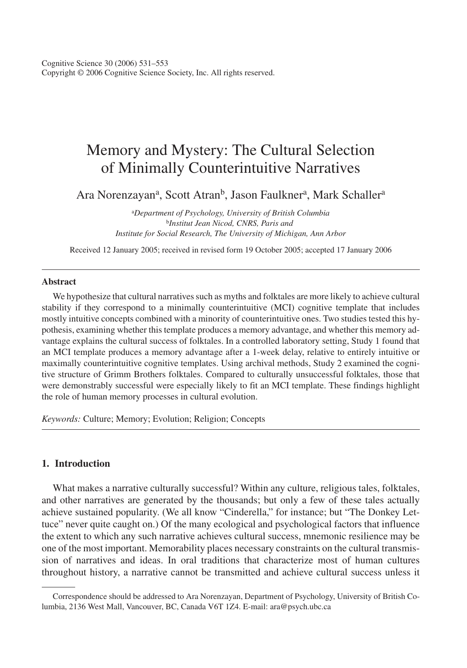Cognitive Science 30 (2006) 531–553 Copyright © 2006 Cognitive Science Society, Inc. All rights reserved.

# Memory and Mystery: The Cultural Selection of Minimally Counterintuitive Narratives

Ara Norenzayan<sup>a</sup>, Scott Atran<sup>b</sup>, Jason Faulkner<sup>a</sup>, Mark Schaller<sup>a</sup>

<sup>a</sup>*Department of Psychology, University of British Columbia* <sup>b</sup>*Institut Jean Nicod, CNRS, Paris and Institute for Social Research, The University of Michigan, Ann Arbor*

Received 12 January 2005; received in revised form 19 October 2005; accepted 17 January 2006

#### **Abstract**

We hypothesize that cultural narratives such as myths and folktales are more likely to achieve cultural stability if they correspond to a minimally counterintuitive (MCI) cognitive template that includes mostly intuitive concepts combined with a minority of counterintuitive ones. Two studies tested this hypothesis, examining whether this template produces a memory advantage, and whether this memory advantage explains the cultural success of folktales. In a controlled laboratory setting, Study 1 found that an MCI template produces a memory advantage after a 1-week delay, relative to entirely intuitive or maximally counterintuitive cognitive templates. Using archival methods, Study 2 examined the cognitive structure of Grimm Brothers folktales. Compared to culturally unsuccessful folktales, those that were demonstrably successful were especially likely to fit an MCI template. These findings highlight the role of human memory processes in cultural evolution.

*Keywords:* Culture; Memory; Evolution; Religion; Concepts

# **1. Introduction**

What makes a narrative culturally successful? Within any culture, religious tales, folktales, and other narratives are generated by the thousands; but only a few of these tales actually achieve sustained popularity. (We all know "Cinderella," for instance; but "The Donkey Lettuce" never quite caught on.) Of the many ecological and psychological factors that influence the extent to which any such narrative achieves cultural success, mnemonic resilience may be one of the most important. Memorability places necessary constraints on the cultural transmission of narratives and ideas. In oral traditions that characterize most of human cultures throughout history, a narrative cannot be transmitted and achieve cultural success unless it

Correspondence should be addressed to Ara Norenzayan, Department of Psychology, University of British Columbia, 2136 West Mall, Vancouver, BC, Canada V6T 1Z4. E-mail: ara@psych.ubc.ca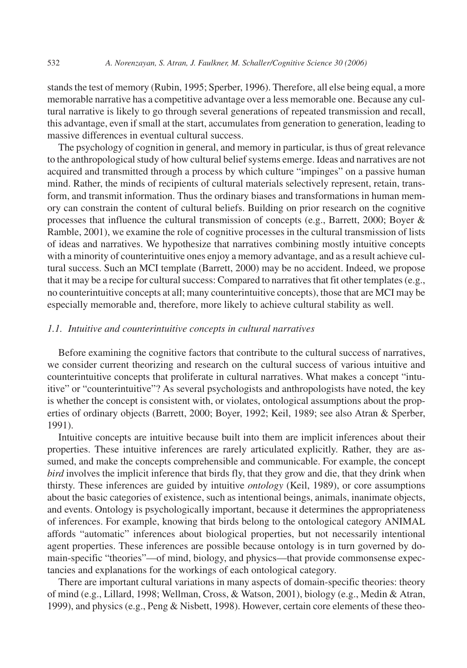stands the test of memory (Rubin, 1995; Sperber, 1996). Therefore, all else being equal, a more memorable narrative has a competitive advantage over a less memorable one. Because any cultural narrative is likely to go through several generations of repeated transmission and recall, this advantage, even if small at the start, accumulates from generation to generation, leading to massive differences in eventual cultural success.

The psychology of cognition in general, and memory in particular, is thus of great relevance to the anthropological study of how cultural belief systems emerge. Ideas and narratives are not acquired and transmitted through a process by which culture "impinges" on a passive human mind. Rather, the minds of recipients of cultural materials selectively represent, retain, transform, and transmit information. Thus the ordinary biases and transformations in human memory can constrain the content of cultural beliefs. Building on prior research on the cognitive processes that influence the cultural transmission of concepts (e.g., Barrett, 2000; Boyer & Ramble, 2001), we examine the role of cognitive processes in the cultural transmission of lists of ideas and narratives. We hypothesize that narratives combining mostly intuitive concepts with a minority of counterintuitive ones enjoy a memory advantage, and as a result achieve cultural success. Such an MCI template (Barrett, 2000) may be no accident. Indeed, we propose that it may be a recipe for cultural success: Compared to narratives that fit other templates (e.g., no counterintuitive concepts at all; many counterintuitive concepts), those that are MCI may be especially memorable and, therefore, more likely to achieve cultural stability as well.

#### *1.1. Intuitive and counterintuitive concepts in cultural narratives*

Before examining the cognitive factors that contribute to the cultural success of narratives, we consider current theorizing and research on the cultural success of various intuitive and counterintuitive concepts that proliferate in cultural narratives. What makes a concept "intuitive" or "counterintuitive"? As several psychologists and anthropologists have noted, the key is whether the concept is consistent with, or violates, ontological assumptions about the properties of ordinary objects (Barrett, 2000; Boyer, 1992; Keil, 1989; see also Atran & Sperber, 1991).

Intuitive concepts are intuitive because built into them are implicit inferences about their properties. These intuitive inferences are rarely articulated explicitly. Rather, they are assumed, and make the concepts comprehensible and communicable. For example, the concept *bird* involves the implicit inference that birds fly, that they grow and die, that they drink when thirsty. These inferences are guided by intuitive *ontology* (Keil, 1989), or core assumptions about the basic categories of existence, such as intentional beings, animals, inanimate objects, and events. Ontology is psychologically important, because it determines the appropriateness of inferences. For example, knowing that birds belong to the ontological category ANIMAL affords "automatic" inferences about biological properties, but not necessarily intentional agent properties. These inferences are possible because ontology is in turn governed by domain-specific "theories"—of mind, biology, and physics—that provide commonsense expectancies and explanations for the workings of each ontological category.

There are important cultural variations in many aspects of domain-specific theories: theory of mind (e.g., Lillard, 1998; Wellman, Cross, & Watson, 2001), biology (e.g., Medin & Atran, 1999), and physics (e.g., Peng & Nisbett, 1998). However, certain core elements of these theo-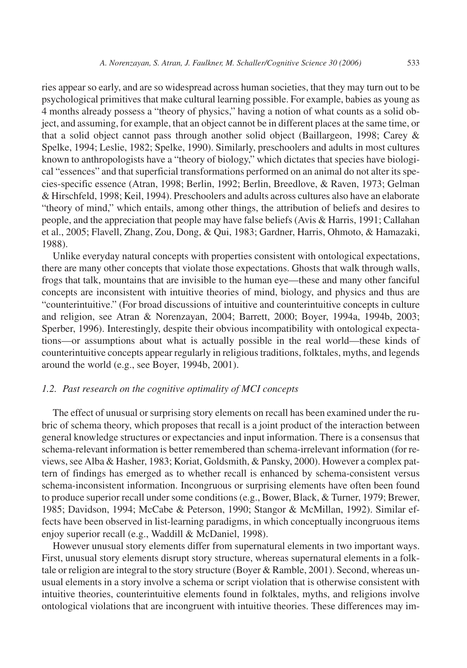ries appear so early, and are so widespread across human societies, that they may turn out to be psychological primitives that make cultural learning possible. For example, babies as young as 4 months already possess a "theory of physics," having a notion of what counts as a solid object, and assuming, for example, that an object cannot be in different places at the same time, or that a solid object cannot pass through another solid object (Baillargeon, 1998; Carey & Spelke, 1994; Leslie, 1982; Spelke, 1990). Similarly, preschoolers and adults in most cultures known to anthropologists have a "theory of biology," which dictates that species have biological "essences" and that superficial transformations performed on an animal do not alter its species-specific essence (Atran, 1998; Berlin, 1992; Berlin, Breedlove, & Raven, 1973; Gelman & Hirschfeld, 1998; Keil, 1994). Preschoolers and adults across cultures also have an elaborate "theory of mind," which entails, among other things, the attribution of beliefs and desires to people, and the appreciation that people may have false beliefs (Avis & Harris, 1991; Callahan et al., 2005; Flavell, Zhang, Zou, Dong, & Qui, 1983; Gardner, Harris, Ohmoto, & Hamazaki, 1988).

Unlike everyday natural concepts with properties consistent with ontological expectations, there are many other concepts that violate those expectations. Ghosts that walk through walls, frogs that talk, mountains that are invisible to the human eye—these and many other fanciful concepts are inconsistent with intuitive theories of mind, biology, and physics and thus are "counterintuitive." (For broad discussions of intuitive and counterintuitive concepts in culture and religion, see Atran & Norenzayan, 2004; Barrett, 2000; Boyer, 1994a, 1994b, 2003; Sperber, 1996). Interestingly, despite their obvious incompatibility with ontological expectations—or assumptions about what is actually possible in the real world—these kinds of counterintuitive concepts appear regularly in religious traditions, folktales, myths, and legends around the world (e.g., see Boyer, 1994b, 2001).

#### *1.2. Past research on the cognitive optimality of MCI concepts*

The effect of unusual or surprising story elements on recall has been examined under the rubric of schema theory, which proposes that recall is a joint product of the interaction between general knowledge structures or expectancies and input information. There is a consensus that schema-relevant information is better remembered than schema-irrelevant information (for reviews, see Alba & Hasher, 1983; Koriat, Goldsmith, & Pansky, 2000). However a complex pattern of findings has emerged as to whether recall is enhanced by schema-consistent versus schema-inconsistent information. Incongruous or surprising elements have often been found to produce superior recall under some conditions (e.g., Bower, Black, & Turner, 1979; Brewer, 1985; Davidson, 1994; McCabe & Peterson, 1990; Stangor & McMillan, 1992). Similar effects have been observed in list-learning paradigms, in which conceptually incongruous items enjoy superior recall (e.g., Waddill & McDaniel, 1998).

However unusual story elements differ from supernatural elements in two important ways. First, unusual story elements disrupt story structure, whereas supernatural elements in a folktale or religion are integral to the story structure (Boyer & Ramble, 2001). Second, whereas unusual elements in a story involve a schema or script violation that is otherwise consistent with intuitive theories, counterintuitive elements found in folktales, myths, and religions involve ontological violations that are incongruent with intuitive theories. These differences may im-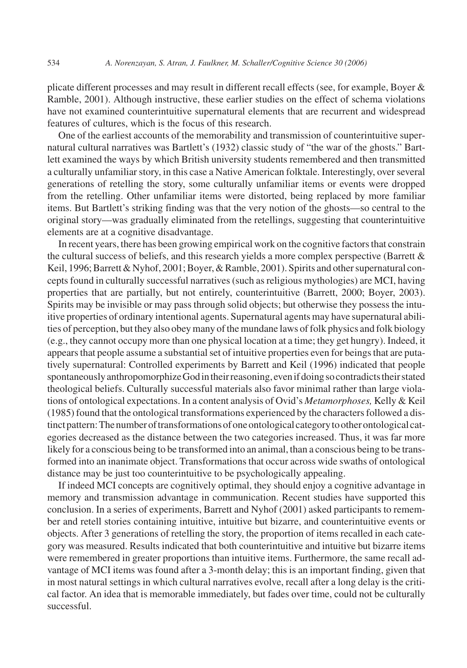plicate different processes and may result in different recall effects (see, for example, Boyer & Ramble, 2001). Although instructive, these earlier studies on the effect of schema violations have not examined counterintuitive supernatural elements that are recurrent and widespread features of cultures, which is the focus of this research.

One of the earliest accounts of the memorability and transmission of counterintuitive supernatural cultural narratives was Bartlett's (1932) classic study of "the war of the ghosts." Bartlett examined the ways by which British university students remembered and then transmitted a culturally unfamiliar story, in this case a Native American folktale. Interestingly, over several generations of retelling the story, some culturally unfamiliar items or events were dropped from the retelling. Other unfamiliar items were distorted, being replaced by more familiar items. But Bartlett's striking finding was that the very notion of the ghosts—so central to the original story—was gradually eliminated from the retellings, suggesting that counterintuitive elements are at a cognitive disadvantage.

In recent years, there has been growing empirical work on the cognitive factors that constrain the cultural success of beliefs, and this research yields a more complex perspective (Barrett & Keil, 1996; Barrett & Nyhof, 2001; Boyer, & Ramble, 2001). Spirits and other supernatural concepts found in culturally successful narratives (such as religious mythologies) are MCI, having properties that are partially, but not entirely, counterintuitive (Barrett, 2000; Boyer, 2003). Spirits may be invisible or may pass through solid objects; but otherwise they possess the intuitive properties of ordinary intentional agents. Supernatural agents may have supernatural abilities of perception, but they also obey many of the mundane laws of folk physics and folk biology (e.g., they cannot occupy more than one physical location at a time; they get hungry). Indeed, it appears that people assume a substantial set of intuitive properties even for beings that are putatively supernatural: Controlled experiments by Barrett and Keil (1996) indicated that people spontaneously anthropomorphize God in their reasoning, even if doing so contradicts their stated theological beliefs. Culturally successful materials also favor minimal rather than large violations of ontological expectations. In a content analysis of Ovid's *Metamorphoses,* Kelly & Keil (1985) found that the ontological transformations experienced by the characters followed a distinct pattern: The number of transformations of one ontological category to other ontological categories decreased as the distance between the two categories increased. Thus, it was far more likely for a conscious being to be transformed into an animal, than a conscious being to be transformed into an inanimate object. Transformations that occur across wide swaths of ontological distance may be just too counterintuitive to be psychologically appealing.

If indeed MCI concepts are cognitively optimal, they should enjoy a cognitive advantage in memory and transmission advantage in communication. Recent studies have supported this conclusion. In a series of experiments, Barrett and Nyhof (2001) asked participants to remember and retell stories containing intuitive, intuitive but bizarre, and counterintuitive events or objects. After 3 generations of retelling the story, the proportion of items recalled in each category was measured. Results indicated that both counterintuitive and intuitive but bizarre items were remembered in greater proportions than intuitive items. Furthermore, the same recall advantage of MCI items was found after a 3-month delay; this is an important finding, given that in most natural settings in which cultural narratives evolve, recall after a long delay is the critical factor. An idea that is memorable immediately, but fades over time, could not be culturally successful.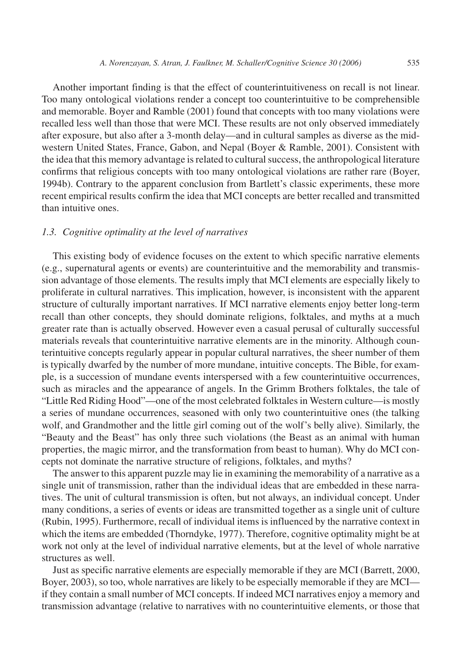Another important finding is that the effect of counterintuitiveness on recall is not linear. Too many ontological violations render a concept too counterintuitive to be comprehensible and memorable. Boyer and Ramble (2001) found that concepts with too many violations were recalled less well than those that were MCI. These results are not only observed immediately after exposure, but also after a 3-month delay—and in cultural samples as diverse as the midwestern United States, France, Gabon, and Nepal (Boyer & Ramble, 2001). Consistent with the idea that this memory advantage is related to cultural success, the anthropological literature confirms that religious concepts with too many ontological violations are rather rare (Boyer, 1994b). Contrary to the apparent conclusion from Bartlett's classic experiments, these more recent empirical results confirm the idea that MCI concepts are better recalled and transmitted than intuitive ones.

#### *1.3. Cognitive optimality at the level of narratives*

This existing body of evidence focuses on the extent to which specific narrative elements (e.g., supernatural agents or events) are counterintuitive and the memorability and transmission advantage of those elements. The results imply that MCI elements are especially likely to proliferate in cultural narratives. This implication, however, is inconsistent with the apparent structure of culturally important narratives. If MCI narrative elements enjoy better long-term recall than other concepts, they should dominate religions, folktales, and myths at a much greater rate than is actually observed. However even a casual perusal of culturally successful materials reveals that counterintuitive narrative elements are in the minority. Although counterintuitive concepts regularly appear in popular cultural narratives, the sheer number of them is typically dwarfed by the number of more mundane, intuitive concepts. The Bible, for example, is a succession of mundane events interspersed with a few counterintuitive occurrences, such as miracles and the appearance of angels. In the Grimm Brothers folktales, the tale of "Little Red Riding Hood"—one of the most celebrated folktales in Western culture—is mostly a series of mundane occurrences, seasoned with only two counterintuitive ones (the talking wolf, and Grandmother and the little girl coming out of the wolf's belly alive). Similarly, the "Beauty and the Beast" has only three such violations (the Beast as an animal with human properties, the magic mirror, and the transformation from beast to human). Why do MCI concepts not dominate the narrative structure of religions, folktales, and myths?

The answer to this apparent puzzle may lie in examining the memorability of a narrative as a single unit of transmission, rather than the individual ideas that are embedded in these narratives. The unit of cultural transmission is often, but not always, an individual concept. Under many conditions, a series of events or ideas are transmitted together as a single unit of culture (Rubin, 1995). Furthermore, recall of individual items is influenced by the narrative context in which the items are embedded (Thorndyke, 1977). Therefore, cognitive optimality might be at work not only at the level of individual narrative elements, but at the level of whole narrative structures as well.

Just as specific narrative elements are especially memorable if they are MCI (Barrett, 2000, Boyer, 2003), so too, whole narratives are likely to be especially memorable if they are MCI if they contain a small number of MCI concepts. If indeed MCI narratives enjoy a memory and transmission advantage (relative to narratives with no counterintuitive elements, or those that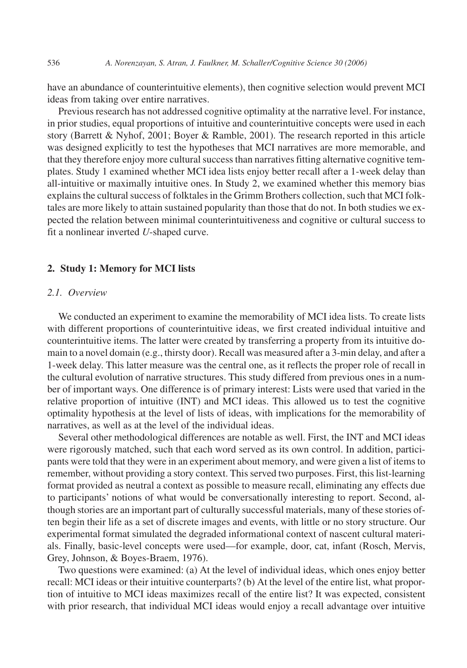have an abundance of counterintuitive elements), then cognitive selection would prevent MCI ideas from taking over entire narratives.

Previous research has not addressed cognitive optimality at the narrative level. For instance, in prior studies, equal proportions of intuitive and counterintuitive concepts were used in each story (Barrett & Nyhof, 2001; Boyer & Ramble, 2001). The research reported in this article was designed explicitly to test the hypotheses that MCI narratives are more memorable, and that they therefore enjoy more cultural success than narratives fitting alternative cognitive templates. Study 1 examined whether MCI idea lists enjoy better recall after a 1-week delay than all-intuitive or maximally intuitive ones. In Study 2, we examined whether this memory bias explains the cultural success of folktales in the Grimm Brothers collection, such that MCI folktales are more likely to attain sustained popularity than those that do not. In both studies we expected the relation between minimal counterintuitiveness and cognitive or cultural success to fit a nonlinear inverted *U*-shaped curve.

## **2. Study 1: Memory for MCI lists**

#### *2.1. Overview*

We conducted an experiment to examine the memorability of MCI idea lists. To create lists with different proportions of counterintuitive ideas, we first created individual intuitive and counterintuitive items. The latter were created by transferring a property from its intuitive domain to a novel domain (e.g., thirsty door). Recall was measured after a 3-min delay, and after a 1-week delay. This latter measure was the central one, as it reflects the proper role of recall in the cultural evolution of narrative structures. This study differed from previous ones in a number of important ways. One difference is of primary interest: Lists were used that varied in the relative proportion of intuitive (INT) and MCI ideas. This allowed us to test the cognitive optimality hypothesis at the level of lists of ideas, with implications for the memorability of narratives, as well as at the level of the individual ideas.

Several other methodological differences are notable as well. First, the INT and MCI ideas were rigorously matched, such that each word served as its own control. In addition, participants were told that they were in an experiment about memory, and were given a list of items to remember, without providing a story context. This served two purposes. First, this list-learning format provided as neutral a context as possible to measure recall, eliminating any effects due to participants' notions of what would be conversationally interesting to report. Second, although stories are an important part of culturally successful materials, many of these stories often begin their life as a set of discrete images and events, with little or no story structure. Our experimental format simulated the degraded informational context of nascent cultural materials. Finally, basic-level concepts were used—for example, door, cat, infant (Rosch, Mervis, Grey, Johnson, & Boyes-Braem, 1976).

Two questions were examined: (a) At the level of individual ideas, which ones enjoy better recall: MCI ideas or their intuitive counterparts? (b) At the level of the entire list, what proportion of intuitive to MCI ideas maximizes recall of the entire list? It was expected, consistent with prior research, that individual MCI ideas would enjoy a recall advantage over intuitive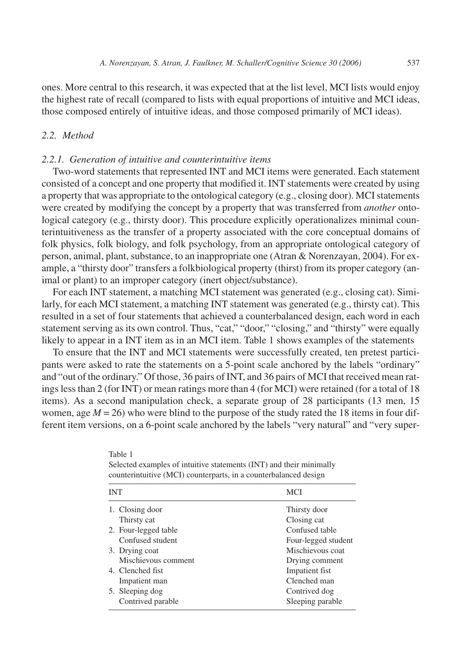ones. More central to this research, it was expected that at the list level, MCI lists would enjoy the highest rate of recall (compared to lists with equal proportions of intuitive and MCI ideas, those composed entirely of intuitive ideas, and those composed primarily of MCI ideas).

#### *2.2. Method*

#### *2.2.1. Generation of intuitive and counterintuitive items*

Table 1

Two-word statements that represented INT and MCI items were generated. Each statement consisted of a concept and one property that modified it. INT statements were created by using a property that was appropriate to the ontological category (e.g., closing door). MCI statements were created by modifying the concept by a property that was transferred from *another* ontological category (e.g., thirsty door). This procedure explicitly operationalizes minimal counterintuitiveness as the transfer of a property associated with the core conceptual domains of folk physics, folk biology, and folk psychology, from an appropriate ontological category of person, animal, plant, substance, to an inappropriate one (Atran & Norenzayan, 2004). For example, a "thirsty door" transfers a folkbiological property (thirst) from its proper category (animal or plant) to an improper category (inert object/substance).

For each INT statement, a matching MCI statement was generated (e.g., closing cat). Similarly, for each MCI statement, a matching INT statement was generated (e.g., thirsty cat). This resulted in a set of four statements that achieved a counterbalanced design, each word in each statement serving as its own control. Thus, "cat," "door," "closing," and "thirsty" were equally likely to appear in a INT item as in an MCI item. Table 1 shows examples of the statements

To ensure that the INT and MCI statements were successfully created, ten pretest participants were asked to rate the statements on a 5-point scale anchored by the labels "ordinary" and "out of the ordinary." Of those, 36 pairs of INT, and 36 pairs of MCI that received mean ratings less than 2 (for INT) or mean ratings more than 4 (for MCI) were retained (for a total of 18 items). As a second manipulation check, a separate group of 28 participants (13 men, 15 women, age  $M = 26$ ) who were blind to the purpose of the study rated the 18 items in four different item versions, on a 6-point scale anchored by the labels "very natural" and "very super-

| <b>INT</b>           | <b>MCI</b>          |
|----------------------|---------------------|
| 1. Closing door      | Thirsty door        |
| Thirsty cat          | Closing cat         |
| 2. Four-legged table | Confused table      |
| Confused student     | Four-legged student |
| 3. Drying coat       | Mischievous coat    |
| Mischievous comment  | Drying comment      |
| 4. Clenched fist.    | Impatient fist      |
| Impatient man        | Clenched man        |
| 5. Sleeping dog      | Contrived dog       |
| Contrived parable    | Sleeping parable    |
|                      |                     |

Selected examples of intuitive statements (INT) and their minimally counterintuitive (MCI) counterparts, in a counterbalanced design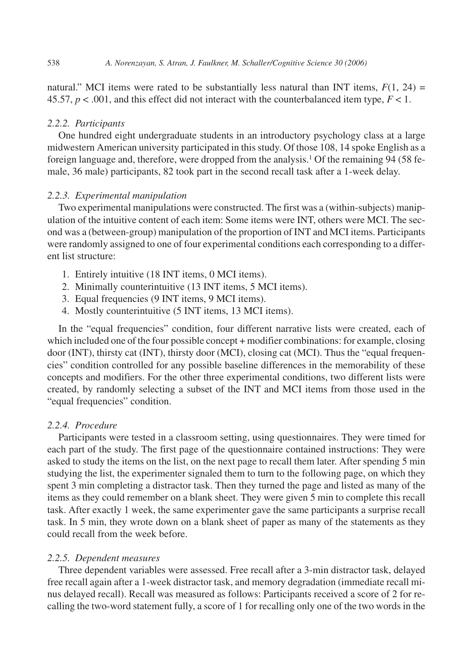natural." MCI items were rated to be substantially less natural than INT items,  $F(1, 24) =$ 45.57,  $p < .001$ , and this effect did not interact with the counterbalanced item type,  $F < 1$ .

#### *2.2.2. Participants*

One hundred eight undergraduate students in an introductory psychology class at a large midwestern American university participated in this study. Of those 108, 14 spoke English as a foreign language and, therefore, were dropped from the analysis.<sup>1</sup> Of the remaining 94 (58 female, 36 male) participants, 82 took part in the second recall task after a 1-week delay.

#### *2.2.3. Experimental manipulation*

Two experimental manipulations were constructed. The first was a (within-subjects) manipulation of the intuitive content of each item: Some items were INT, others were MCI. The second was a (between-group) manipulation of the proportion of INT and MCI items. Participants were randomly assigned to one of four experimental conditions each corresponding to a different list structure:

- 1. Entirely intuitive (18 INT items, 0 MCI items).
- 2. Minimally counterintuitive (13 INT items, 5 MCI items).
- 3. Equal frequencies (9 INT items, 9 MCI items).
- 4. Mostly counterintuitive (5 INT items, 13 MCI items).

In the "equal frequencies" condition, four different narrative lists were created, each of which included one of the four possible concept + modifier combinations: for example, closing door (INT), thirsty cat (INT), thirsty door (MCI), closing cat (MCI). Thus the "equal frequencies" condition controlled for any possible baseline differences in the memorability of these concepts and modifiers. For the other three experimental conditions, two different lists were created, by randomly selecting a subset of the INT and MCI items from those used in the "equal frequencies" condition.

## *2.2.4. Procedure*

Participants were tested in a classroom setting, using questionnaires. They were timed for each part of the study. The first page of the questionnaire contained instructions: They were asked to study the items on the list, on the next page to recall them later. After spending 5 min studying the list, the experimenter signaled them to turn to the following page, on which they spent 3 min completing a distractor task. Then they turned the page and listed as many of the items as they could remember on a blank sheet. They were given 5 min to complete this recall task. After exactly 1 week, the same experimenter gave the same participants a surprise recall task. In 5 min, they wrote down on a blank sheet of paper as many of the statements as they could recall from the week before.

# *2.2.5. Dependent measures*

Three dependent variables were assessed. Free recall after a 3-min distractor task, delayed free recall again after a 1-week distractor task, and memory degradation (immediate recall minus delayed recall). Recall was measured as follows: Participants received a score of 2 for recalling the two-word statement fully, a score of 1 for recalling only one of the two words in the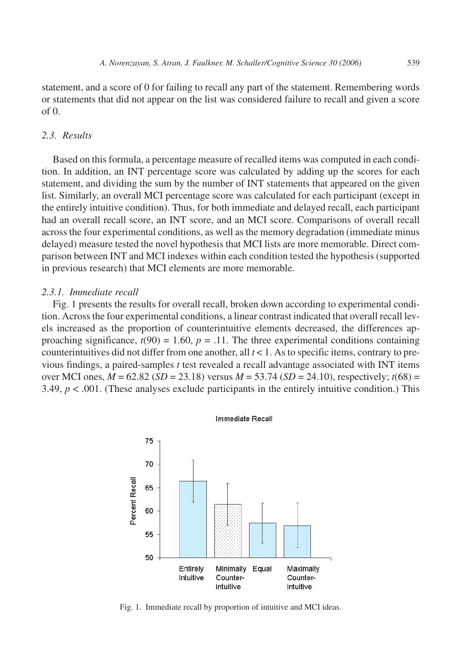statement, and a score of 0 for failing to recall any part of the statement. Remembering words or statements that did not appear on the list was considered failure to recall and given a score  $of  $0$$ .

# *2.3. Results*

Based on this formula, a percentage measure of recalled items was computed in each condition. In addition, an INT percentage score was calculated by adding up the scores for each statement, and dividing the sum by the number of INT statements that appeared on the given list. Similarly, an overall MCI percentage score was calculated for each participant (except in the entirely intuitive condition). Thus, for both immediate and delayed recall, each participant had an overall recall score, an INT score, and an MCI score. Comparisons of overall recall across the four experimental conditions, as well as the memory degradation (immediate minus delayed) measure tested the novel hypothesis that MCI lists are more memorable. Direct comparison between INT and MCI indexes within each condition tested the hypothesis (supported in previous research) that MCI elements are more memorable.

## *2.3.1. Immediate recall*

Fig. 1 presents the results for overall recall, broken down according to experimental condition. Across the four experimental conditions, a linear contrast indicated that overall recall levels increased as the proportion of counterintuitive elements decreased, the differences approaching significance,  $t(90) = 1.60$ ,  $p = .11$ . The three experimental conditions containing counterintuitives did not differ from one another, all  $t < 1$ . As to specific items, contrary to previous findings, a paired-samples *t* test revealed a recall advantage associated with INT items over MCI ones,  $M = 62.82$  ( $SD = 23.18$ ) versus  $M = 53.74$  ( $SD = 24.10$ ), respectively;  $t(68) =$ 3.49,  $p < .001$ . (These analyses exclude participants in the entirely intuitive condition.) This



Fig. 1. Immediate recall by proportion of intuitive and MCI ideas.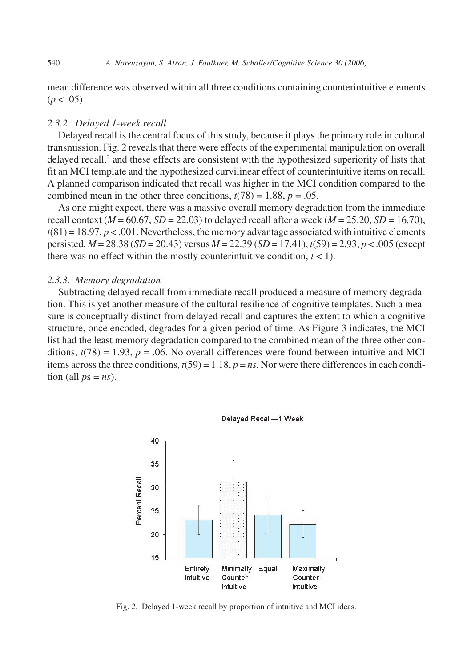mean difference was observed within all three conditions containing counterintuitive elements  $(p < .05)$ .

#### *2.3.2. Delayed 1-week recall*

Delayed recall is the central focus of this study, because it plays the primary role in cultural transmission. Fig. 2 reveals that there were effects of the experimental manipulation on overall delayed recall,<sup>2</sup> and these effects are consistent with the hypothesized superiority of lists that fit an MCI template and the hypothesized curvilinear effect of counterintuitive items on recall. A planned comparison indicated that recall was higher in the MCI condition compared to the combined mean in the other three conditions,  $t(78) = 1.88$ ,  $p = .05$ .

As one might expect, there was a massive overall memory degradation from the immediate recall context ( $M = 60.67$ ,  $SD = 22.03$ ) to delayed recall after a week ( $M = 25.20$ ,  $SD = 16.70$ ),  $t(81) = 18.97, p < .001$ . Nevertheless, the memory advantage associated with intuitive elements persisted, *M* = 28.38 (*SD* = 20.43) versus *M* = 22.39 (*SD* = 17.41), *t*(59) = 2.93, *p* < .005 (except there was no effect within the mostly counterintuitive condition,  $t < 1$ ).

#### *2.3.3. Memory degradation*

Subtracting delayed recall from immediate recall produced a measure of memory degradation. This is yet another measure of the cultural resilience of cognitive templates. Such a measure is conceptually distinct from delayed recall and captures the extent to which a cognitive structure, once encoded, degrades for a given period of time. As Figure 3 indicates, the MCI list had the least memory degradation compared to the combined mean of the three other conditions,  $t(78) = 1.93$ ,  $p = .06$ . No overall differences were found between intuitive and MCI items across the three conditions,  $t(59) = 1.18$ ,  $p = ns$ . Nor were there differences in each condition (all  $ps = ns$ ).



Delayed Recall-1 Week

Fig. 2. Delayed 1-week recall by proportion of intuitive and MCI ideas.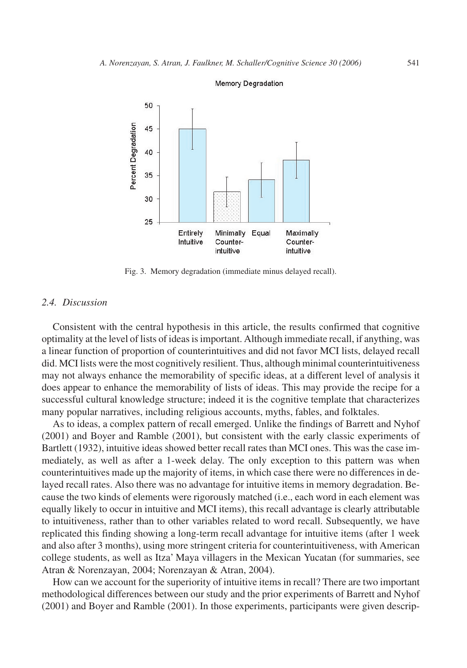

#### Memory Degradation

Fig. 3. Memory degradation (immediate minus delayed recall).

## *2.4. Discussion*

Consistent with the central hypothesis in this article, the results confirmed that cognitive optimality at the level of lists of ideas is important. Although immediate recall, if anything, was a linear function of proportion of counterintuitives and did not favor MCI lists, delayed recall did. MCI lists were the most cognitively resilient. Thus, although minimal counterintuitiveness may not always enhance the memorability of specific ideas, at a different level of analysis it does appear to enhance the memorability of lists of ideas. This may provide the recipe for a successful cultural knowledge structure; indeed it is the cognitive template that characterizes many popular narratives, including religious accounts, myths, fables, and folktales.

As to ideas, a complex pattern of recall emerged. Unlike the findings of Barrett and Nyhof (2001) and Boyer and Ramble (2001), but consistent with the early classic experiments of Bartlett (1932), intuitive ideas showed better recall rates than MCI ones. This was the case immediately, as well as after a 1-week delay. The only exception to this pattern was when counterintuitives made up the majority of items, in which case there were no differences in delayed recall rates. Also there was no advantage for intuitive items in memory degradation. Because the two kinds of elements were rigorously matched (i.e., each word in each element was equally likely to occur in intuitive and MCI items), this recall advantage is clearly attributable to intuitiveness, rather than to other variables related to word recall. Subsequently, we have replicated this finding showing a long-term recall advantage for intuitive items (after 1 week and also after 3 months), using more stringent criteria for counterintuitiveness, with American college students, as well as Itza' Maya villagers in the Mexican Yucatan (for summaries, see Atran & Norenzayan, 2004; Norenzayan & Atran, 2004).

How can we account for the superiority of intuitive items in recall? There are two important methodological differences between our study and the prior experiments of Barrett and Nyhof (2001) and Boyer and Ramble (2001). In those experiments, participants were given descrip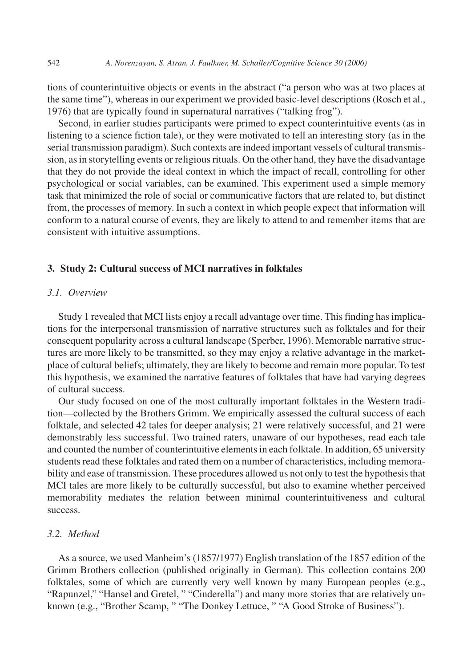tions of counterintuitive objects or events in the abstract ("a person who was at two places at the same time"), whereas in our experiment we provided basic-level descriptions (Rosch et al., 1976) that are typically found in supernatural narratives ("talking frog").

Second, in earlier studies participants were primed to expect counterintuitive events (as in listening to a science fiction tale), or they were motivated to tell an interesting story (as in the serial transmission paradigm). Such contexts are indeed important vessels of cultural transmission, as in storytelling events or religious rituals. On the other hand, they have the disadvantage that they do not provide the ideal context in which the impact of recall, controlling for other psychological or social variables, can be examined. This experiment used a simple memory task that minimized the role of social or communicative factors that are related to, but distinct from, the processes of memory. In such a context in which people expect that information will conform to a natural course of events, they are likely to attend to and remember items that are consistent with intuitive assumptions.

## **3. Study 2: Cultural success of MCI narratives in folktales**

#### *3.1. Overview*

Study 1 revealed that MCI lists enjoy a recall advantage over time. This finding has implications for the interpersonal transmission of narrative structures such as folktales and for their consequent popularity across a cultural landscape (Sperber, 1996). Memorable narrative structures are more likely to be transmitted, so they may enjoy a relative advantage in the marketplace of cultural beliefs; ultimately, they are likely to become and remain more popular. To test this hypothesis, we examined the narrative features of folktales that have had varying degrees of cultural success.

Our study focused on one of the most culturally important folktales in the Western tradition—collected by the Brothers Grimm. We empirically assessed the cultural success of each folktale, and selected 42 tales for deeper analysis; 21 were relatively successful, and 21 were demonstrably less successful. Two trained raters, unaware of our hypotheses, read each tale and counted the number of counterintuitive elements in each folktale. In addition, 65 university students read these folktales and rated them on a number of characteristics, including memorability and ease of transmission. These procedures allowed us not only to test the hypothesis that MCI tales are more likely to be culturally successful, but also to examine whether perceived memorability mediates the relation between minimal counterintuitiveness and cultural success.

# *3.2. Method*

As a source, we used Manheim's (1857/1977) English translation of the 1857 edition of the Grimm Brothers collection (published originally in German). This collection contains 200 folktales, some of which are currently very well known by many European peoples (e.g., "Rapunzel," "Hansel and Gretel, " "Cinderella") and many more stories that are relatively unknown (e.g., "Brother Scamp, " "The Donkey Lettuce, " "A Good Stroke of Business").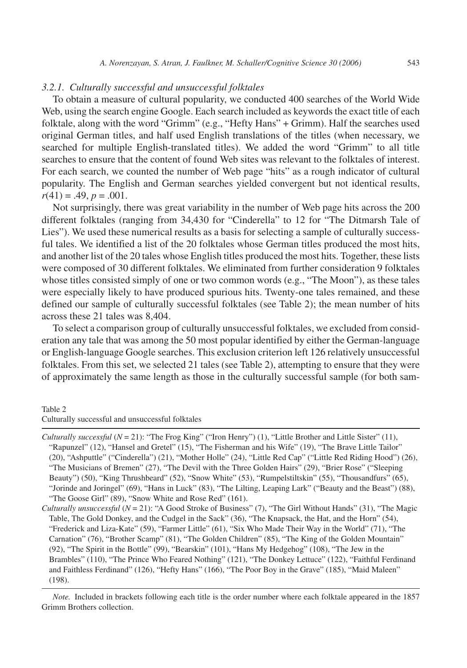#### *3.2.1. Culturally successful and unsuccessful folktales*

To obtain a measure of cultural popularity, we conducted 400 searches of the World Wide Web, using the search engine Google. Each search included as keywords the exact title of each folktale, along with the word "Grimm" (e.g., "Hefty Hans" + Grimm). Half the searches used original German titles, and half used English translations of the titles (when necessary, we searched for multiple English-translated titles). We added the word "Grimm" to all title searches to ensure that the content of found Web sites was relevant to the folktales of interest. For each search, we counted the number of Web page "hits" as a rough indicator of cultural popularity. The English and German searches yielded convergent but not identical results,  $r(41) = .49, p = .001.$ 

Not surprisingly, there was great variability in the number of Web page hits across the 200 different folktales (ranging from 34,430 for "Cinderella" to 12 for "The Ditmarsh Tale of Lies"). We used these numerical results as a basis for selecting a sample of culturally successful tales. We identified a list of the 20 folktales whose German titles produced the most hits, and another list of the 20 tales whose English titles produced the most hits. Together, these lists were composed of 30 different folktales. We eliminated from further consideration 9 folktales whose titles consisted simply of one or two common words (e.g., "The Moon"), as these tales were especially likely to have produced spurious hits. Twenty-one tales remained, and these defined our sample of culturally successful folktales (see Table 2); the mean number of hits across these 21 tales was 8,404.

To select a comparison group of culturally unsuccessful folktales, we excluded from consideration any tale that was among the 50 most popular identified by either the German-language or English-language Google searches. This exclusion criterion left 126 relatively unsuccessful folktales. From this set, we selected 21 tales (see Table 2), attempting to ensure that they were of approximately the same length as those in the culturally successful sample (for both sam-

#### Table 2 Culturally successful and unsuccessful folktales

*Culturally successful* (*N* = 21): "The Frog King" ("Iron Henry") (1), "Little Brother and Little Sister" (11), "Rapunzel" (12), "Hansel and Gretel" (15), "The Fisherman and his Wife" (19), "The Brave Little Tailor" (20), "Ashputtle" ("Cinderella") (21), "Mother Holle" (24), "Little Red Cap" ("Little Red Riding Hood") (26), "The Musicians of Bremen" (27), "The Devil with the Three Golden Hairs" (29), "Brier Rose" ("Sleeping Beauty") (50), "King Thrushbeard" (52), "Snow White" (53), "Rumpelstiltskin" (55), "Thousandfurs" (65), "Jorinde and Joringel" (69), "Hans in Luck" (83), "The Lilting, Leaping Lark" ("Beauty and the Beast") (88), "The Goose Girl" (89), "Snow White and Rose Red" (161).

*Culturally unsuccessful* (*N* = 21): "A Good Stroke of Business" (7), "The Girl Without Hands" (31), "The Magic Table, The Gold Donkey, and the Cudgel in the Sack" (36), "The Knapsack, the Hat, and the Horn" (54), "Frederick and Liza-Kate" (59), "Farmer Little" (61), "Six Who Made Their Way in the World" (71), "The Carnation" (76), "Brother Scamp" (81), "The Golden Children" (85), "The King of the Golden Mountain" (92), "The Spirit in the Bottle" (99), "Bearskin" (101), "Hans My Hedgehog" (108), "The Jew in the Brambles" (110), "The Prince Who Feared Nothing" (121), "The Donkey Lettuce" (122), "Faithful Ferdinand and Faithless Ferdinand" (126), "Hefty Hans" (166), "The Poor Boy in the Grave" (185), "Maid Maleen" (198).

*Note.* Included in brackets following each title is the order number where each folktale appeared in the 1857 Grimm Brothers collection.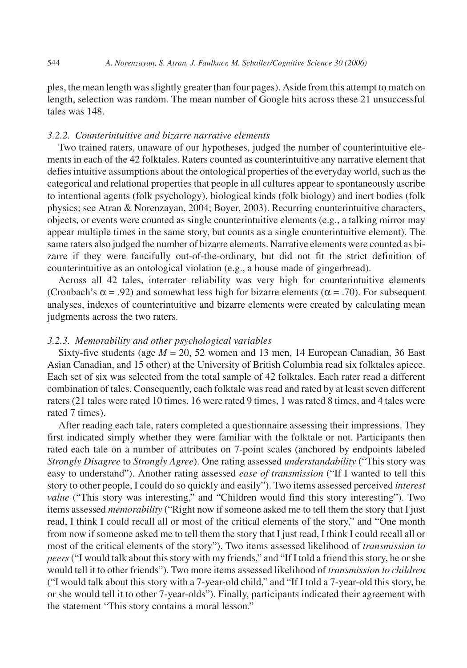ples, the mean length was slightly greater than four pages). Aside from this attempt to match on length, selection was random. The mean number of Google hits across these 21 unsuccessful tales was 148.

# *3.2.2. Counterintuitive and bizarre narrative elements*

Two trained raters, unaware of our hypotheses, judged the number of counterintuitive elements in each of the 42 folktales. Raters counted as counterintuitive any narrative element that defies intuitive assumptions about the ontological properties of the everyday world, such as the categorical and relational properties that people in all cultures appear to spontaneously ascribe to intentional agents (folk psychology), biological kinds (folk biology) and inert bodies (folk physics; see Atran & Norenzayan, 2004; Boyer, 2003). Recurring counterintuitive characters, objects, or events were counted as single counterintuitive elements (e.g., a talking mirror may appear multiple times in the same story, but counts as a single counterintuitive element). The same raters also judged the number of bizarre elements. Narrative elements were counted as bizarre if they were fancifully out-of-the-ordinary, but did not fit the strict definition of counterintuitive as an ontological violation (e.g., a house made of gingerbread).

Across all 42 tales, interrater reliability was very high for counterintuitive elements (Cronbach's  $\alpha$  = .92) and somewhat less high for bizarre elements ( $\alpha$  = .70). For subsequent analyses, indexes of counterintuitive and bizarre elements were created by calculating mean judgments across the two raters.

#### *3.2.3. Memorability and other psychological variables*

Sixty-five students (age *M* = 20, 52 women and 13 men, 14 European Canadian, 36 East Asian Canadian, and 15 other) at the University of British Columbia read six folktales apiece. Each set of six was selected from the total sample of 42 folktales. Each rater read a different combination of tales. Consequently, each folktale was read and rated by at least seven different raters (21 tales were rated 10 times, 16 were rated 9 times, 1 was rated 8 times, and 4 tales were rated 7 times).

After reading each tale, raters completed a questionnaire assessing their impressions. They first indicated simply whether they were familiar with the folktale or not. Participants then rated each tale on a number of attributes on 7-point scales (anchored by endpoints labeled *Strongly Disagree* to *Strongly Agree*). One rating assessed *understandability* ("This story was easy to understand"). Another rating assessed *ease of transmission* ("If I wanted to tell this story to other people, I could do so quickly and easily"). Two items assessed perceived *interest value* ("This story was interesting," and "Children would find this story interesting"). Two items assessed *memorability* ("Right now if someone asked me to tell them the story that I just read, I think I could recall all or most of the critical elements of the story," and "One month from now if someone asked me to tell them the story that I just read, I think I could recall all or most of the critical elements of the story"). Two items assessed likelihood of *transmission to peers*("I would talk about this story with my friends," and "If I told a friend this story, he or she would tell it to other friends"). Two more items assessed likelihood of *transmission to children* ("I would talk about this story with a 7-year-old child," and "If I told a 7-year-old this story, he or she would tell it to other 7-year-olds"). Finally, participants indicated their agreement with the statement "This story contains a moral lesson."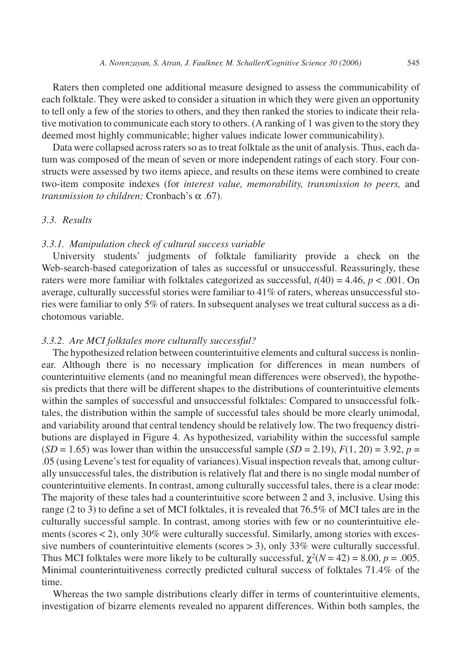Raters then completed one additional measure designed to assess the communicability of each folktale. They were asked to consider a situation in which they were given an opportunity to tell only a few of the stories to others, and they then ranked the stories to indicate their relative motivation to communicate each story to others. (A ranking of 1 was given to the story they deemed most highly communicable; higher values indicate lower communicability).

Data were collapsed across raters so as to treat folktale as the unit of analysis. Thus, each datum was composed of the mean of seven or more independent ratings of each story. Four constructs were assessed by two items apiece, and results on these items were combined to create two-item composite indexes (for *interest value, memorability, transmission to peers,* and *transmission to children;* Cronbach's α .67).

# *3.3. Results*

#### *3.3.1. Manipulation check of cultural success variable*

University students' judgments of folktale familiarity provide a check on the Web-search-based categorization of tales as successful or unsuccessful. Reassuringly, these raters were more familiar with folktales categorized as successful,  $t(40) = 4.46$ ,  $p < .001$ . On average, culturally successful stories were familiar to 41% of raters, whereas unsuccessful stories were familiar to only 5% of raters. In subsequent analyses we treat cultural success as a dichotomous variable.

#### *3.3.2. Are MCI folktales more culturally successful?*

The hypothesized relation between counterintuitive elements and cultural success is nonlinear. Although there is no necessary implication for differences in mean numbers of counterintuitive elements (and no meaningful mean differences were observed), the hypothesis predicts that there will be different shapes to the distributions of counterintuitive elements within the samples of successful and unsuccessful folktales: Compared to unsuccessful folktales, the distribution within the sample of successful tales should be more clearly unimodal, and variability around that central tendency should be relatively low. The two frequency distributions are displayed in Figure 4. As hypothesized, variability within the successful sample  $(SD = 1.65)$  was lower than within the unsuccessful sample  $(SD = 2.19)$ ,  $F(1, 20) = 3.92$ ,  $p =$ .05 (using Levene's test for equality of variances).Visual inspection reveals that, among culturally unsuccessful tales, the distribution is relatively flat and there is no single modal number of counterintuitive elements. In contrast, among culturally successful tales, there is a clear mode: The majority of these tales had a counterintuitive score between 2 and 3, inclusive. Using this range (2 to 3) to define a set of MCI folktales, it is revealed that 76.5% of MCI tales are in the culturally successful sample. In contrast, among stories with few or no counterintuitive elements (scores < 2), only 30% were culturally successful. Similarly, among stories with excessive numbers of counterintuitive elements (scores > 3), only 33% were culturally successful. Thus MCI folktales were more likely to be culturally successful,  $\chi^2(N = 42) = 8.00$ ,  $p = .005$ . Minimal counterintuitiveness correctly predicted cultural success of folktales 71.4% of the time.

Whereas the two sample distributions clearly differ in terms of counterintuitive elements, investigation of bizarre elements revealed no apparent differences. Within both samples, the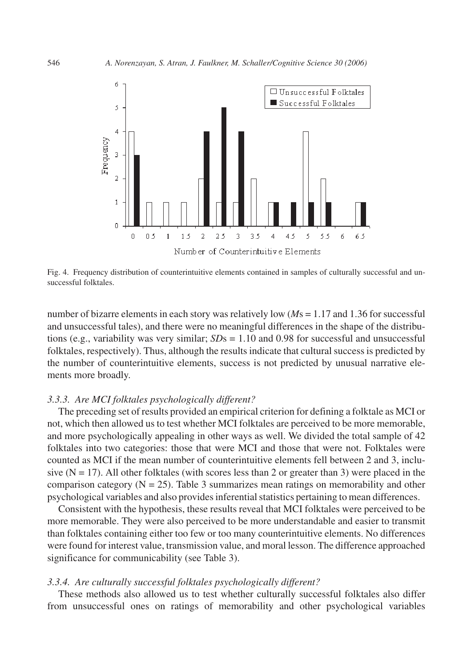

Fig. 4. Frequency distribution of counterintuitive elements contained in samples of culturally successful and unsuccessful folktales.

number of bizarre elements in each story was relatively low (*M*s = 1.17 and 1.36 for successful and unsuccessful tales), and there were no meaningful differences in the shape of the distributions (e.g., variability was very similar;  $SDs = 1.10$  and 0.98 for successful and unsuccessful folktales, respectively). Thus, although the results indicate that cultural success is predicted by the number of counterintuitive elements, success is not predicted by unusual narrative elements more broadly.

## *3.3.3. Are MCI folktales psychologically different?*

The preceding set of results provided an empirical criterion for defining a folktale as MCI or not, which then allowed us to test whether MCI folktales are perceived to be more memorable, and more psychologically appealing in other ways as well. We divided the total sample of 42 folktales into two categories: those that were MCI and those that were not. Folktales were counted as MCI if the mean number of counterintuitive elements fell between 2 and 3, inclusive  $(N = 17)$ . All other folktales (with scores less than 2 or greater than 3) were placed in the comparison category ( $N = 25$ ). Table 3 summarizes mean ratings on memorability and other psychological variables and also provides inferential statistics pertaining to mean differences.

Consistent with the hypothesis, these results reveal that MCI folktales were perceived to be more memorable. They were also perceived to be more understandable and easier to transmit than folktales containing either too few or too many counterintuitive elements. No differences were found for interest value, transmission value, and moral lesson. The difference approached significance for communicability (see Table 3).

# *3.3.4. Are culturally successful folktales psychologically different?*

These methods also allowed us to test whether culturally successful folktales also differ from unsuccessful ones on ratings of memorability and other psychological variables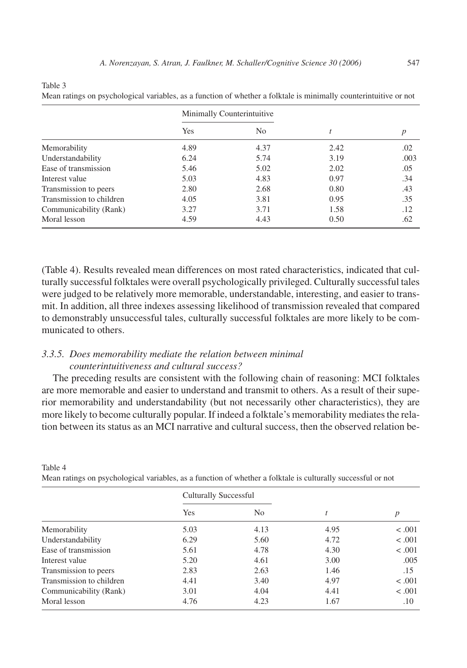Table 3

Table 4

|  |  | Mean ratings on psychological variables, as a function of whether a folktale is minimally counterintuitive or not |
|--|--|-------------------------------------------------------------------------------------------------------------------|
|  |  |                                                                                                                   |

|                          | Minimally Counterintuitive |      |      |      |
|--------------------------|----------------------------|------|------|------|
|                          | Yes                        | No   |      |      |
| Memorability             | 4.89                       | 4.37 | 2.42 | .02  |
| Understandability        | 6.24                       | 5.74 | 3.19 | .003 |
| Ease of transmission     | 5.46                       | 5.02 | 2.02 | .05  |
| Interest value           | 5.03                       | 4.83 | 0.97 | .34  |
| Transmission to peers    | 2.80                       | 2.68 | 0.80 | .43  |
| Transmission to children | 4.05                       | 3.81 | 0.95 | .35  |
| Communicability (Rank)   | 3.27                       | 3.71 | 1.58 | .12  |
| Moral lesson             | 4.59                       | 4.43 | 0.50 | .62  |

(Table 4). Results revealed mean differences on most rated characteristics, indicated that culturally successful folktales were overall psychologically privileged. Culturally successful tales were judged to be relatively more memorable, understandable, interesting, and easier to transmit. In addition, all three indexes assessing likelihood of transmission revealed that compared to demonstrably unsuccessful tales, culturally successful folktales are more likely to be communicated to others.

# *3.3.5. Does memorability mediate the relation between minimal counterintuitiveness and cultural success?*

The preceding results are consistent with the following chain of reasoning: MCI folktales are more memorable and easier to understand and transmit to others. As a result of their superior memorability and understandability (but not necessarily other characteristics), they are more likely to become culturally popular. If indeed a folktale's memorability mediates the relation between its status as an MCI narrative and cultural success, then the observed relation be-

|                          | <b>Culturally Successful</b> |                |      |                  |
|--------------------------|------------------------------|----------------|------|------------------|
|                          | Yes                          | N <sub>0</sub> | t    | $\boldsymbol{p}$ |
| Memorability             | 5.03                         | 4.13           | 4.95 | < 0.001          |
| Understandability        | 6.29                         | 5.60           | 4.72 | < .001           |
| Ease of transmission     | 5.61                         | 4.78           | 4.30 | < .001           |
| Interest value           | 5.20                         | 4.61           | 3.00 | .005             |
| Transmission to peers    | 2.83                         | 2.63           | 1.46 | .15              |
| Transmission to children | 4.41                         | 3.40           | 4.97 | $-.001$          |
| Communicability (Rank)   | 3.01                         | 4.04           | 4.41 | $-.001$          |
| Moral lesson             | 4.76                         | 4.23           | 1.67 | $.10\,$          |

Mean ratings on psychological variables, as a function of whether a folktale is culturally successful or not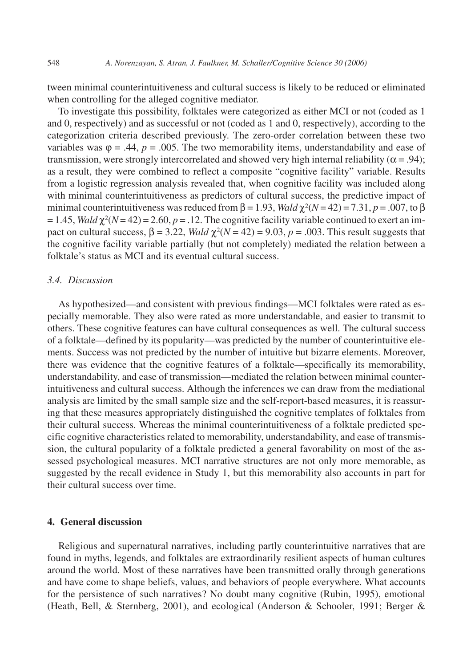tween minimal counterintuitiveness and cultural success is likely to be reduced or eliminated when controlling for the alleged cognitive mediator.

To investigate this possibility, folktales were categorized as either MCI or not (coded as 1 and 0, respectively) and as successful or not (coded as 1 and 0, respectively), according to the categorization criteria described previously. The zero-order correlation between these two variables was  $\varphi = .44$ ,  $p = .005$ . The two memorability items, understandability and ease of transmission, were strongly intercorrelated and showed very high internal reliability ( $\alpha$  = .94); as a result, they were combined to reflect a composite "cognitive facility" variable. Results from a logistic regression analysis revealed that, when cognitive facility was included along with minimal counterintuitiveness as predictors of cultural success, the predictive impact of minimal counterintuitiveness was reduced from  $\beta = 1.93$ , *Wald*  $\chi^2(N = 42) = 7.31$ ,  $p = .007$ , to  $\beta$  $= 1.45$ , *Wald*  $\chi^2(N = 42) = 2.60$ ,  $p = 0.12$ . The cognitive facility variable continued to exert an impact on cultural success,  $\beta = 3.22$ , *Wald*  $\chi^2(N = 42) = 9.03$ ,  $p = .003$ . This result suggests that the cognitive facility variable partially (but not completely) mediated the relation between a folktale's status as MCI and its eventual cultural success.

# *3.4. Discussion*

As hypothesized—and consistent with previous findings—MCI folktales were rated as especially memorable. They also were rated as more understandable, and easier to transmit to others. These cognitive features can have cultural consequences as well. The cultural success of a folktale—defined by its popularity—was predicted by the number of counterintuitive elements. Success was not predicted by the number of intuitive but bizarre elements. Moreover, there was evidence that the cognitive features of a folktale—specifically its memorability, understandability, and ease of transmission—mediated the relation between minimal counterintuitiveness and cultural success. Although the inferences we can draw from the mediational analysis are limited by the small sample size and the self-report-based measures, it is reassuring that these measures appropriately distinguished the cognitive templates of folktales from their cultural success. Whereas the minimal counterintuitiveness of a folktale predicted specific cognitive characteristics related to memorability, understandability, and ease of transmission, the cultural popularity of a folktale predicted a general favorability on most of the assessed psychological measures. MCI narrative structures are not only more memorable, as suggested by the recall evidence in Study 1, but this memorability also accounts in part for their cultural success over time.

# **4. General discussion**

Religious and supernatural narratives, including partly counterintuitive narratives that are found in myths, legends, and folktales are extraordinarily resilient aspects of human cultures around the world. Most of these narratives have been transmitted orally through generations and have come to shape beliefs, values, and behaviors of people everywhere. What accounts for the persistence of such narratives? No doubt many cognitive (Rubin, 1995), emotional (Heath, Bell, & Sternberg, 2001), and ecological (Anderson & Schooler, 1991; Berger &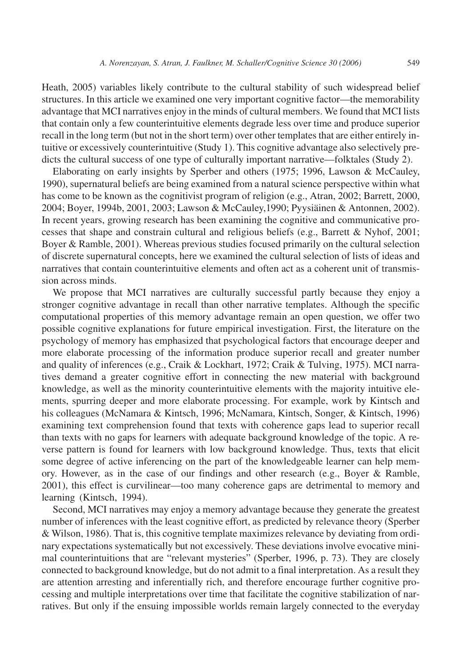Heath, 2005) variables likely contribute to the cultural stability of such widespread belief structures. In this article we examined one very important cognitive factor—the memorability advantage that MCI narratives enjoy in the minds of cultural members. We found that MCI lists that contain only a few counterintuitive elements degrade less over time and produce superior recall in the long term (but not in the short term) over other templates that are either entirely intuitive or excessively counterintuitive (Study 1). This cognitive advantage also selectively predicts the cultural success of one type of culturally important narrative—folktales (Study 2).

Elaborating on early insights by Sperber and others (1975; 1996, Lawson & McCauley, 1990), supernatural beliefs are being examined from a natural science perspective within what has come to be known as the cognitivist program of religion (e.g., Atran, 2002; Barrett, 2000, 2004; Boyer, 1994b, 2001, 2003; Lawson & McCauley,1990; Pyysiäinen & Antonnen, 2002). In recent years, growing research has been examining the cognitive and communicative processes that shape and constrain cultural and religious beliefs (e.g., Barrett & Nyhof, 2001; Boyer & Ramble, 2001). Whereas previous studies focused primarily on the cultural selection of discrete supernatural concepts, here we examined the cultural selection of lists of ideas and narratives that contain counterintuitive elements and often act as a coherent unit of transmission across minds.

We propose that MCI narratives are culturally successful partly because they enjoy a stronger cognitive advantage in recall than other narrative templates. Although the specific computational properties of this memory advantage remain an open question, we offer two possible cognitive explanations for future empirical investigation. First, the literature on the psychology of memory has emphasized that psychological factors that encourage deeper and more elaborate processing of the information produce superior recall and greater number and quality of inferences (e.g., Craik & Lockhart, 1972; Craik & Tulving, 1975). MCI narratives demand a greater cognitive effort in connecting the new material with background knowledge, as well as the minority counterintuitive elements with the majority intuitive elements, spurring deeper and more elaborate processing. For example, work by Kintsch and his colleagues (McNamara & Kintsch, 1996; McNamara, Kintsch, Songer, & Kintsch, 1996) examining text comprehension found that texts with coherence gaps lead to superior recall than texts with no gaps for learners with adequate background knowledge of the topic. A reverse pattern is found for learners with low background knowledge. Thus, texts that elicit some degree of active inferencing on the part of the knowledgeable learner can help memory. However, as in the case of our findings and other research (e.g., Boyer & Ramble, 2001), this effect is curvilinear—too many coherence gaps are detrimental to memory and learning (Kintsch, 1994).

Second, MCI narratives may enjoy a memory advantage because they generate the greatest number of inferences with the least cognitive effort, as predicted by relevance theory (Sperber & Wilson, 1986). That is, this cognitive template maximizes relevance by deviating from ordinary expectations systematically but not excessively. These deviations involve evocative minimal counterintuitions that are "relevant mysteries" (Sperber, 1996, p. 73). They are closely connected to background knowledge, but do not admit to a final interpretation. As a result they are attention arresting and inferentially rich, and therefore encourage further cognitive processing and multiple interpretations over time that facilitate the cognitive stabilization of narratives. But only if the ensuing impossible worlds remain largely connected to the everyday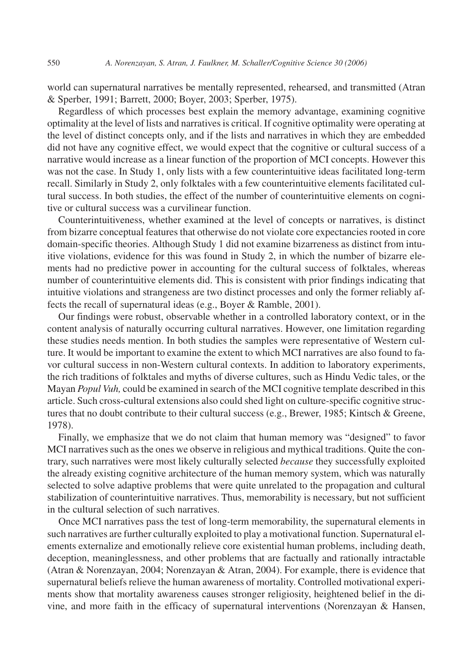world can supernatural narratives be mentally represented, rehearsed, and transmitted (Atran & Sperber, 1991; Barrett, 2000; Boyer, 2003; Sperber, 1975).

Regardless of which processes best explain the memory advantage, examining cognitive optimality at the level of lists and narratives is critical. If cognitive optimality were operating at the level of distinct concepts only, and if the lists and narratives in which they are embedded did not have any cognitive effect, we would expect that the cognitive or cultural success of a narrative would increase as a linear function of the proportion of MCI concepts. However this was not the case. In Study 1, only lists with a few counterintuitive ideas facilitated long-term recall. Similarly in Study 2, only folktales with a few counterintuitive elements facilitated cultural success. In both studies, the effect of the number of counterintuitive elements on cognitive or cultural success was a curvilinear function.

Counterintuitiveness, whether examined at the level of concepts or narratives, is distinct from bizarre conceptual features that otherwise do not violate core expectancies rooted in core domain-specific theories. Although Study 1 did not examine bizarreness as distinct from intuitive violations, evidence for this was found in Study 2, in which the number of bizarre elements had no predictive power in accounting for the cultural success of folktales, whereas number of counterintuitive elements did. This is consistent with prior findings indicating that intuitive violations and strangeness are two distinct processes and only the former reliably affects the recall of supernatural ideas (e.g., Boyer & Ramble, 2001).

Our findings were robust, observable whether in a controlled laboratory context, or in the content analysis of naturally occurring cultural narratives. However, one limitation regarding these studies needs mention. In both studies the samples were representative of Western culture. It would be important to examine the extent to which MCI narratives are also found to favor cultural success in non-Western cultural contexts. In addition to laboratory experiments, the rich traditions of folktales and myths of diverse cultures, such as Hindu Vedic tales, or the Mayan *Popul Vuh,* could be examined in search of the MCI cognitive template described in this article. Such cross-cultural extensions also could shed light on culture-specific cognitive structures that no doubt contribute to their cultural success (e.g., Brewer, 1985; Kintsch & Greene, 1978).

Finally, we emphasize that we do not claim that human memory was "designed" to favor MCI narratives such as the ones we observe in religious and mythical traditions. Quite the contrary, such narratives were most likely culturally selected *because* they successfully exploited the already existing cognitive architecture of the human memory system, which was naturally selected to solve adaptive problems that were quite unrelated to the propagation and cultural stabilization of counterintuitive narratives. Thus, memorability is necessary, but not sufficient in the cultural selection of such narratives.

Once MCI narratives pass the test of long-term memorability, the supernatural elements in such narratives are further culturally exploited to play a motivational function. Supernatural elements externalize and emotionally relieve core existential human problems, including death, deception, meaninglessness, and other problems that are factually and rationally intractable (Atran & Norenzayan, 2004; Norenzayan & Atran, 2004). For example, there is evidence that supernatural beliefs relieve the human awareness of mortality. Controlled motivational experiments show that mortality awareness causes stronger religiosity, heightened belief in the divine, and more faith in the efficacy of supernatural interventions (Norenzayan & Hansen,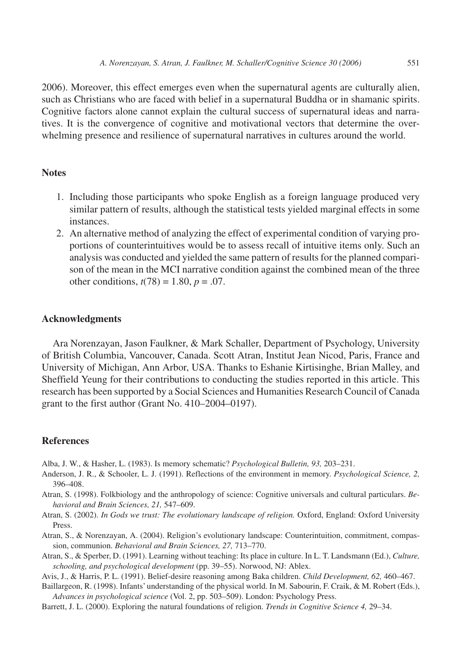2006). Moreover, this effect emerges even when the supernatural agents are culturally alien, such as Christians who are faced with belief in a supernatural Buddha or in shamanic spirits. Cognitive factors alone cannot explain the cultural success of supernatural ideas and narratives. It is the convergence of cognitive and motivational vectors that determine the overwhelming presence and resilience of supernatural narratives in cultures around the world.

## **Notes**

- 1. Including those participants who spoke English as a foreign language produced very similar pattern of results, although the statistical tests yielded marginal effects in some instances.
- 2. An alternative method of analyzing the effect of experimental condition of varying proportions of counterintuitives would be to assess recall of intuitive items only. Such an analysis was conducted and yielded the same pattern of results for the planned comparison of the mean in the MCI narrative condition against the combined mean of the three other conditions,  $t(78) = 1.80$ ,  $p = .07$ .

# **Acknowledgments**

Ara Norenzayan, Jason Faulkner, & Mark Schaller, Department of Psychology, University of British Columbia, Vancouver, Canada. Scott Atran, Institut Jean Nicod, Paris, France and University of Michigan, Ann Arbor, USA. Thanks to Eshanie Kirtisinghe, Brian Malley, and Sheffield Yeung for their contributions to conducting the studies reported in this article. This research has been supported by a Social Sciences and Humanities Research Council of Canada grant to the first author (Grant No. 410–2004–0197).

# **References**

Alba, J. W., & Hasher, L. (1983). Is memory schematic? *Psychological Bulletin, 93,* 203–231.

- Anderson, J. R., & Schooler, L. J. (1991). Reflections of the environment in memory. *Psychological Science, 2,* 396–408.
- Atran, S. (1998). Folkbiology and the anthropology of science: Cognitive universals and cultural particulars. *Behavioral and Brain Sciences, 21,* 547–609.
- Atran, S. (2002). *In Gods we trust: The evolutionary landscape of religion.* Oxford, England: Oxford University Press.
- Atran, S., & Norenzayan, A. (2004). Religion's evolutionary landscape: Counterintuition, commitment, compassion, communion. *Behavioral and Brain Sciences, 27,* 713–770.
- Atran, S., & Sperber, D. (1991). Learning without teaching: Its place in culture. In L. T. Landsmann (Ed.), *Culture, schooling, and psychological development* (pp. 39–55). Norwood, NJ: Ablex.

Avis, J., & Harris, P. L. (1991). Belief-desire reasoning among Baka children. *Child Development, 62,* 460–467.

Baillargeon, R. (1998). Infants' understanding of the physical world. In M. Sabourin, F. Craik, & M. Robert (Eds.), *Advances in psychological science* (Vol. 2, pp. 503–509). London: Psychology Press.

Barrett, J. L. (2000). Exploring the natural foundations of religion. *Trends in Cognitive Science 4,* 29–34.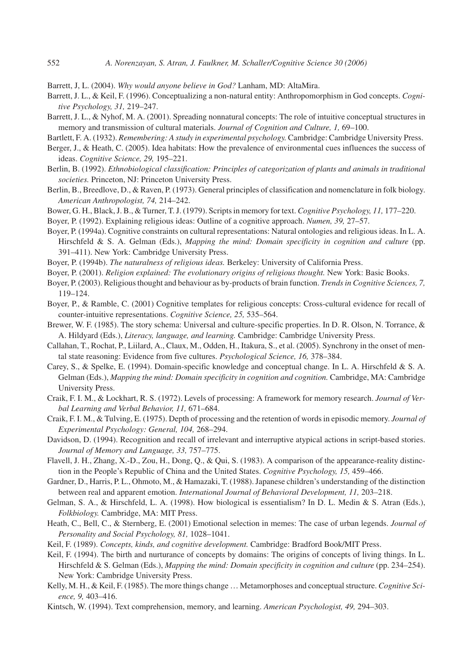- Barrett, J, L. (2004). *Why would anyone believe in God?* Lanham, MD: AltaMira.
- Barrett, J. L., & Keil, F. (1996). Conceptualizing a non-natural entity: Anthropomorphism in God concepts. *Cognitive Psychology, 31,* 219–247.
- Barrett, J. L., & Nyhof, M. A. (2001). Spreading nonnatural concepts: The role of intuitive conceptual structures in memory and transmission of cultural materials. *Journal of Cognition and Culture, 1,* 69–100.
- Bartlett, F. A. (1932). *Remembering: A study in experimental psychology.* Cambridge: Cambridge University Press.
- Berger, J., & Heath, C. (2005). Idea habitats: How the prevalence of environmental cues influences the success of ideas. *Cognitive Science, 29,* 195–221.
- Berlin, B. (1992). *Ethnobiological classification: Principles of categorization of plants and animals in traditional societies.* Princeton, NJ: Princeton University Press.
- Berlin, B., Breedlove, D., & Raven, P. (1973). General principles of classification and nomenclature in folk biology. *American Anthropologist, 74,* 214–242.
- Bower, G. H., Black, J. B., & Turner, T. J. (1979). Scripts in memory for text. *Cognitive Psychology, 11,* 177–220.

Boyer, P. (1992). Explaining religious ideas: Outline of a cognitive approach. *Numen, 39,* 27–57.

- Boyer, P. (1994a). Cognitive constraints on cultural representations: Natural ontologies and religious ideas. In L. A. Hirschfeld & S. A. Gelman (Eds.), *Mapping the mind: Domain specificity in cognition and culture* (pp. 391–411). New York: Cambridge University Press.
- Boyer, P. (1994b). *The naturalness of religious ideas.* Berkeley: University of California Press.
- Boyer, P. (2001). *Religion explained: The evolutionary origins of religious thought.* New York: Basic Books.
- Boyer, P. (2003). Religious thought and behaviour as by-products of brain function. *Trends in Cognitive Sciences, 7,* 119–124.
- Boyer, P., & Ramble, C. (2001) Cognitive templates for religious concepts: Cross-cultural evidence for recall of counter-intuitive representations. *Cognitive Science, 25,* 535–564.
- Brewer, W. F. (1985). The story schema: Universal and culture-specific properties. In D. R. Olson, N. Torrance, & A. Hildyard (Eds.), *Literacy, language, and learning.* Cambridge: Cambridge University Press.
- Callahan, T., Rochat, P., Liilard, A., Claux, M., Odden, H., Itakura, S., et al. (2005). Synchrony in the onset of mental state reasoning: Evidence from five cultures. *Psychological Science, 16,* 378–384.
- Carey, S., & Spelke, E. (1994). Domain-specific knowledge and conceptual change. In L. A. Hirschfeld & S. A. Gelman (Eds.), *Mapping the mind: Domain specificity in cognition and cognition.* Cambridge, MA: Cambridge University Press.
- Craik, F. I. M., & Lockhart, R. S. (1972). Levels of processing: A framework for memory research. *Journal of Verbal Learning and Verbal Behavior, 11,* 671–684.
- Craik, F. I. M., & Tulving, E. (1975). Depth of processing and the retention of words in episodic memory. *Journal of Experimental Psychology: General, 104,* 268–294.
- Davidson, D. (1994). Recognition and recall of irrelevant and interruptive atypical actions in script-based stories. *Journal of Memory and Language, 33,* 757–775.
- Flavell, J. H., Zhang, X.-D., Zou, H., Dong, Q., & Qui, S. (1983). A comparison of the appearance-reality distinction in the People's Republic of China and the United States. *Cognitive Psychology, 15,* 459–466.
- Gardner, D., Harris, P. L., Ohmoto, M., & Hamazaki, T. (1988). Japanese children's understanding of the distinction between real and apparent emotion. *International Journal of Behavioral Development, 11,* 203–218.
- Gelman, S. A., & Hirschfeld, L. A. (1998). How biological is essentialism? In D. L. Medin & S. Atran (Eds.), *Folkbiology.* Cambridge, MA: MIT Press.
- Heath, C., Bell, C., & Sternberg, E. (2001) Emotional selection in memes: The case of urban legends. *Journal of Personality and Social Psychology, 81,* 1028–1041.
- Keil, F. (1989). *Concepts, kinds, and cognitive development.* Cambridge: Bradford Book/MIT Press.
- Keil, F. (1994). The birth and nurturance of concepts by domains: The origins of concepts of living things. In L. Hirschfeld & S. Gelman (Eds.), *Mapping the mind: Domain specificity in cognition and culture* (pp. 234–254). New York: Cambridge University Press.
- Kelly, M. H., & Keil, F. (1985). The more things change … Metamorphoses and conceptual structure. *Cognitive Science, 9,* 403–416.
- Kintsch, W. (1994). Text comprehension, memory, and learning. *American Psychologist, 49,* 294–303.